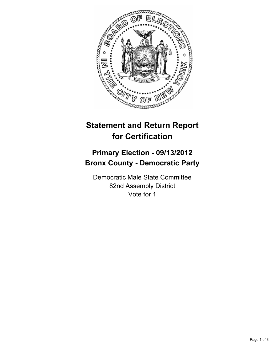

## **Statement and Return Report for Certification**

## **Primary Election - 09/13/2012 Bronx County - Democratic Party**

Democratic Male State Committee 82nd Assembly District Vote for 1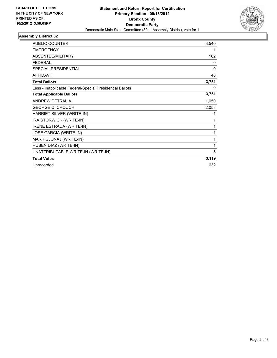

## **Assembly District 82**

| <b>PUBLIC COUNTER</b>                                    | 3,540        |
|----------------------------------------------------------|--------------|
| <b>EMERGENCY</b>                                         | 1            |
| ABSENTEE/MILITARY                                        | 162          |
| <b>FEDERAL</b>                                           | 0            |
| SPECIAL PRESIDENTIAL                                     | $\mathbf{0}$ |
| <b>AFFIDAVIT</b>                                         | 48           |
| <b>Total Ballots</b>                                     | 3,751        |
| Less - Inapplicable Federal/Special Presidential Ballots | 0            |
| <b>Total Applicable Ballots</b>                          | 3,751        |
| <b>ANDREW PETRALIA</b>                                   | 1,050        |
| <b>GEORGE C. CROUCH</b>                                  | 2,058        |
| HARRIET SILVER (WRITE-IN)                                | 1            |
| IRA STORWICK (WRITE-IN)                                  | 1            |
| IRENE ESTRADA (WRITE-IN)                                 | 1            |
| JOSE GARCIA (WRITE-IN)                                   | 1            |
| MARK GJONAJ (WRITE-IN)                                   | 1            |
| RUBEN DIAZ (WRITE-IN)                                    | 1            |
| UNATTRIBUTABLE WRITE-IN (WRITE-IN)                       | 5            |
| <b>Total Votes</b>                                       | 3,119        |
| Unrecorded                                               | 632          |